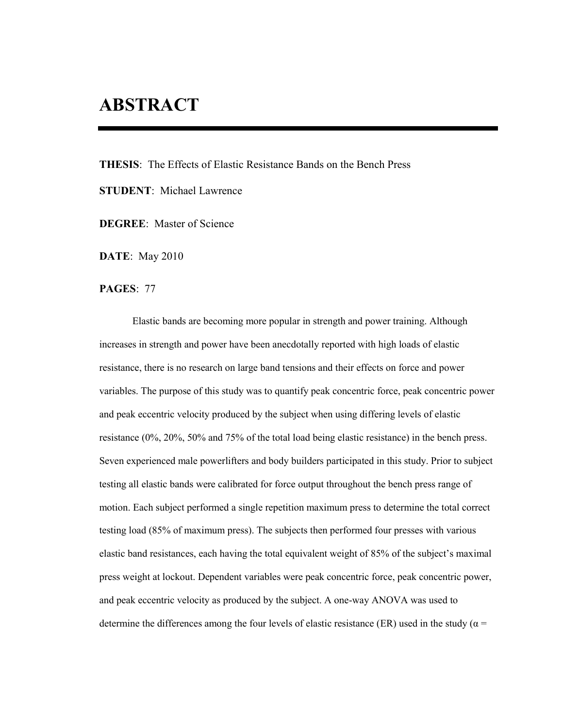## **ABSTRACT**

**THESIS**: The Effects of Elastic Resistance Bands on the Bench Press

**STUDENT**: Michael Lawrence

**DEGREE**: Master of Science

**DATE**: May 2010

**PAGES**: 77

Elastic bands are becoming more popular in strength and power training. Although increases in strength and power have been anecdotally reported with high loads of elastic resistance, there is no research on large band tensions and their effects on force and power variables. The purpose of this study was to quantify peak concentric force, peak concentric power and peak eccentric velocity produced by the subject when using differing levels of elastic resistance (0%, 20%, 50% and 75% of the total load being elastic resistance) in the bench press. Seven experienced male powerlifters and body builders participated in this study. Prior to subject testing all elastic bands were calibrated for force output throughout the bench press range of motion. Each subject performed a single repetition maximum press to determine the total correct testing load (85% of maximum press). The subjects then performed four presses with various elastic band resistances, each having the total equivalent weight of 85% of the subject's maximal press weight at lockout. Dependent variables were peak concentric force, peak concentric power, and peak eccentric velocity as produced by the subject. A one-way ANOVA was used to determine the differences among the four levels of elastic resistance (ER) used in the study ( $\alpha$  =